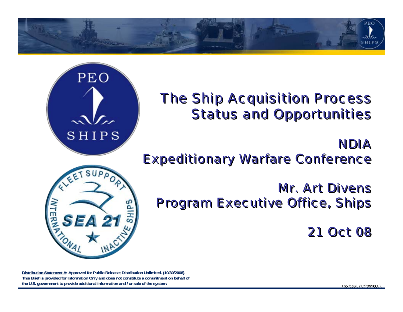

# *The Ship Acquisition Process The Ship Acquisition Process Status and Opportunities Status and Opportunities*

### *NDIANDIAExpeditionary Warfare Conference Expeditionary Warfare Conference*

*Mr. Art DivensMr. Art Divens Program Executive Office, Ships Program Executive Office, Ships*

*21 Oct 0821 Oct 08*

**Distribution Statement A: Approved for Public Release; Distribution Unlimited. (10/30/2008).** This Brief is provided for Information Only and does not constitute a commitment on behalf of **the U.S. government to provide additional information and / or sale of the system. ale of the system. Updated. (10/30/2008).** 

PEO

 $\mathcal{M}_{\alpha}$ SHIPS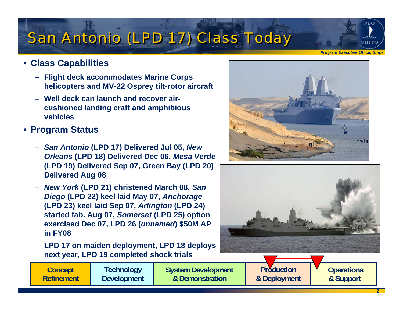# *San Antonio (LPD 17) Class Today San Antonio (LPD 17) Class Today*

#### • **Class Capabilities**

- **Flight deck accommodates Marine Corps helicopters and MV-22 Osprey tilt-rotor aircraft**
- **Well deck can launch and recover aircushioned landing craft and amphibious vehicles**

#### • **Program Status**

- *San Antonio* **(LPD 17) Delivered Jul 05,** *New Orleans* **(LPD 18) Delivered Dec 06,** *Mesa Verde*  **(LPD 19) Delivered Sep 07, Green Bay (LPD 20) Delivered Aug 08**
- *New York* **(LPD 21) christened March 08,** *San Diego* **(LPD 22) keel laid May 07,** *Anchorage*  **(LPD 23) keel laid Sep 07,** *Arlington* **(LPD 24) started fab. Aug 07,** *Somerset* **(LPD 25) option exercised Dec 07, LPD 26 (***unnamed***) \$50M AP in FY08**
- **LPD 17 on maiden deployment, LPD 18 deploys next year, LPD 19 completed shock trials**

**System Development & Demonstration**





**Production& Deployment** 

2

**Operations & Support** 

*Program Executive Office, Ships*

PEO.

SHIPS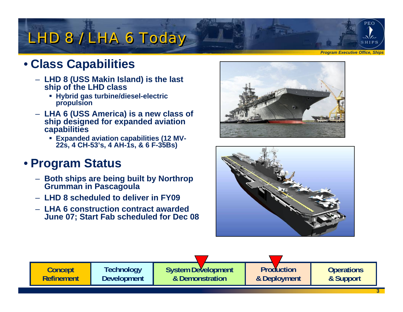# *LHD 8 / LHA 6 Today LHD 8 / LHA 6 Today*

# • **Class Capabilities**

- **LHD 8 (USS Makin Island) is the last ship of the LHD class**
	- **Hybrid gas turbine/diesel-electric propulsion**
- **LHA 6 (USS America) is a new class of ship designed for expanded aviation capabilities**
	- **Expanded aviation capabilities (12 MV-22s, 4 CH-53's, 4 AH-1s, & 6 F-35Bs)**

### • **Program Status**

- **Both ships are being built by Northrop Grumman in Pascagoula**
- **LHD 8 scheduled to deliver in FY09**
- **LHA 6 construction contract awarded June 07; Start Fab scheduled for Dec 08**





3**Concept RefinementTechnology Development System Development & DemonstrationProduction& Deployment Operations & Support** 

*Program Executive Office, Ships*

PEO

SHIPS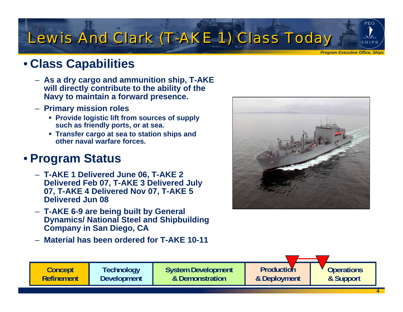# *Lewis And Clark (T-AKE 1) Class Today Lewis And Clark (T-AKE 1) Class Today*

#### *Program Executive Office, Ships*

**PEO** 

SHIPS

# • **Class Capabilities**

- **As a dry cargo and ammunition ship, T-AKE will directly contribute to the ability of the Navy to maintain a forward presence.**
- **Primary mission roles**
	- **Provide logistic lift from sources of supply such as friendly ports, or at sea.**
	- **Transfer cargo at sea to station ships and other naval warfare forces.**

#### • **Program Status**

- **T-AKE 1 Delivered June 06, T-AKE 2 Delivered Feb 07, T-AKE 3 Delivered July 07, T-AKE 4 Delivered Nov 07, T-AKE 5 Delivered Jun 08**
- **T-AKE 6-9 are being built by General Dynamics/ National Steel and Shipbuilding Company in San Diego, CA**
- **Material has been ordered for T-AKE 10-11**



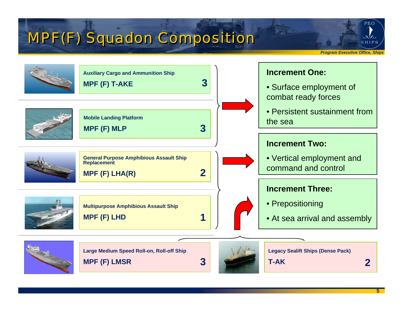# *MPF(F) Squadon Composition MPF(F) Squadon Composition*

PEO<sup>1</sup>

SHIPS

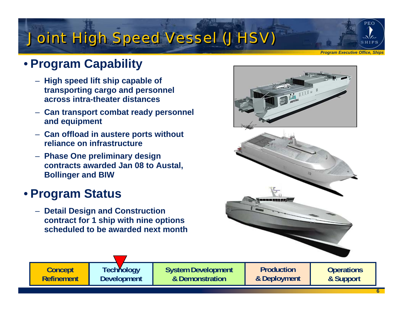# *Joint High Speed Vessel (JHSV) Joint High Speed Vessel (JHSV)*

*Program Executive Office, Ships*

PEO

SHIPS

# • **Program Capability**

- **High speed lift ship capable of transporting cargo and personnel across intra-theater distances**
- **Can transport combat ready personnel and equipment**
- **Can offload in austere ports without reliance on infrastructure**
- **Phase One preliminary design contracts awarded Jan 08 to Austal, Bollinger and BIW**

#### • **Program Status**

– **Detail Design and Construction contract for 1 ship with nine options scheduled to be awarded next month**





**Concept Refinement**

**Technology Development** **System Development & Demonstration**

**Production& Deployment** 

**Operations & Support** 

6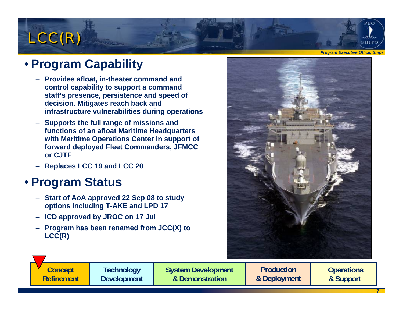# *LCC(R) LCC(R)*

### • **Program Capability**

- **Provides afloat, in-theater command and control capability to support a command staff's presence, persistence and speed of decision. Mitigates reach back and infrastructure vulnerabilities during operations**
- **Supports the full range of missions and functions of an afloat Maritime Headquarters with Maritime Operations Center in support of forward deployed Fleet Commanders, JFMCC or CJTF**
- **Replaces LCC 19 and LCC 20**

### • **Program Status**

- **Start of AoA approved 22 Sep 08 to study options including T-AKE and LPD 17**
- **ICD approved by JROC on 17 Jul**
- **Program has been renamed from JCC(X) to LCC(R)**



**System Development & Demonstration**

**Production& Deployment** 

**Operations & Support** 

*Program Executive Office, Ships*

PEO.

SHIPS

7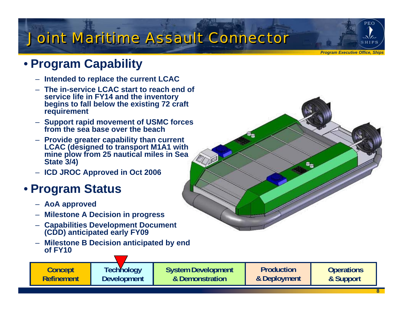# *Joint Maritime Assault Connector Joint Maritime Assault Connector*

*Program Executive Office, Ships*

PEO

ربرگ SHIPS

# • **Program Capability**

- **Intended to replace the current LCAC**
- **The in-service LCAC start to reach end of service life in FY14 and the inventory begins to fall below the existing 72 craft requirement**
- **Support rapid movement of USMC forces from the sea base over the beach**
- **Provide greater capability than current LCAC (designed to transport M1A1 with mine plow from 25 nautical miles in Sea State 3/4)**
- **ICD JROC Approved in Oct 2006**

### • **Program Status**

- **AoA approved**
- **Milestone A Decision in progress**
- **Capabilities Development Document (CDD) anticipated early FY09**
- **Milestone B Decision anticipated by end of FY10**

**Concept Refinement** **System Development & Demonstration**

**Production& Deployment** 

**Operations & Support**